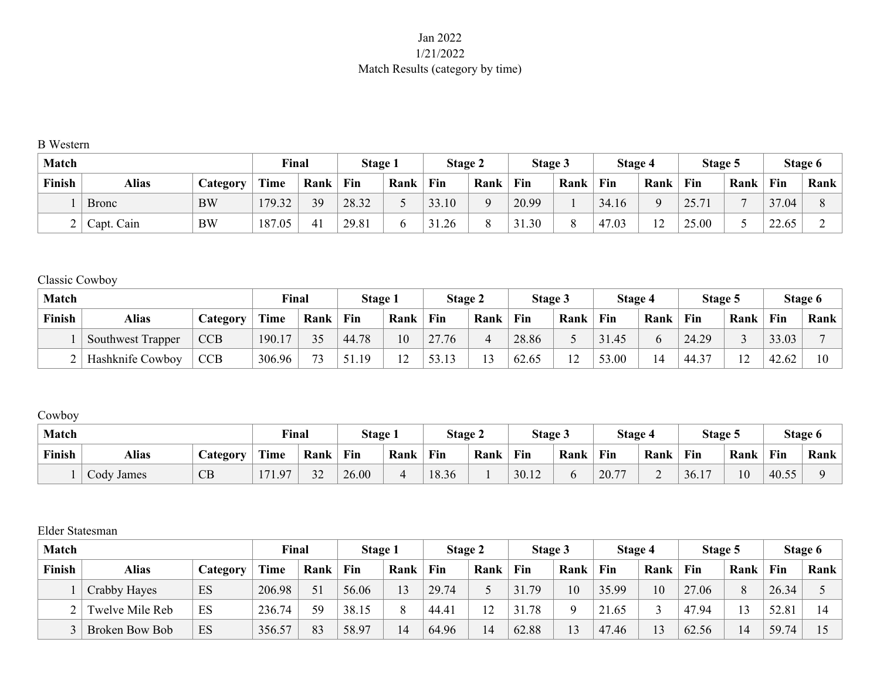## Jan 2022 1/21/2022 Match Results (category by time)

#### B Western

| <b>Match</b>   |              |           | Final  |      | Stage 1 |      | Stage 2 |          | Stage 3 |      | Stage 4 |              | Stage 5     |      |       | Stage 6 |
|----------------|--------------|-----------|--------|------|---------|------|---------|----------|---------|------|---------|--------------|-------------|------|-------|---------|
| Finish         | <b>Alias</b> | Category  | Time   | Rank | Fin     | Rank | Fin     | Rank     | Fin     | Rank | Fin     | Rank         | Fin         | Rank | Fin   | Rank    |
|                | <b>Bronc</b> | <b>BW</b> | 179.32 | 39   | 28.32   |      | 33.10   | $\Omega$ | 20.99   |      | 34.16   | Q            | 2571<br>ن ڪ | −    | 37.04 |         |
| $\overline{ }$ | Capt. Cain   | <b>BW</b> | 187.05 | 41   | 29.81   |      | 31.26   |          | 31.30   |      | 47.03   | $1^{\wedge}$ | 25.00       |      | 22.65 |         |

### Classic Cowboy

| <b>Match</b>  |                          |            | Final  |      | Stage 1 |               | Stage 2 |              | Stage 3 |        | <b>Stage 4</b> |      | Stage 5 |        |       | Stage 6 |
|---------------|--------------------------|------------|--------|------|---------|---------------|---------|--------------|---------|--------|----------------|------|---------|--------|-------|---------|
| <b>Finish</b> | Alias                    | Category   | Time   | Rank | Fin     | Rank          | Fin     | Rank         | Fin     | Rank   | Fin            | Rank | Fin     | Rank   | Fin   | Rank    |
|               | <b>Southwest Trapper</b> | <b>CCB</b> | 190.17 | 35   | 44.78   | 10            | 27.76   | 4            | 28.86   |        | 31.45          |      | 24.29   |        | 33.03 |         |
|               | Hashknife Cowboy         | <b>CCB</b> | 306.96 | 73   | 51.19   | $\sim$<br>L 4 | 53.13   | $\sim$<br>L3 | 62.65   | $\sim$ | 53.00          | 4    | 44.37   | $\sim$ | 42.62 |         |

# Cowboy

| <b>Match</b> |            |                 | <b>Final</b> |      | Stage 1 |      | <b>Stage 2</b> |      | Stage 3 |      | Stage 4 |      | Stage 5 |      |       | Stage 6 |
|--------------|------------|-----------------|--------------|------|---------|------|----------------|------|---------|------|---------|------|---------|------|-------|---------|
| Finish       | Alias      | <b>Lategory</b> | Time         | Rank | Fin     | Rank | Fin            | Rank | Fin     | Rank | Fin     | Rank | Fin     | Rank | Fin   | Rank    |
|              | Cody James | CB              | .11.97       | 32   | 26.00   | -    | 18.36          |      | 30.12   |      | 20.77   | ∼    | 36.17   | 10   | 40.55 |         |

### Elder Statesman

| <b>Match</b> |                 |                       | Final  |      | Stage 1 |          | Stage 2 |                | <b>Stage 3</b> |      | Stage 4 |                 | Stage 5 |      |       | Stage 6 |
|--------------|-----------------|-----------------------|--------|------|---------|----------|---------|----------------|----------------|------|---------|-----------------|---------|------|-------|---------|
| Finish       | <b>Alias</b>    | $\mathcal{L}$ ategory | Time   | Rank | Fin     | Rank     | Fin     | Rank           | Fin            | Rank | Fin     | Rank            | Fin     | Rank | Fin   | Rank    |
|              | Crabby Hayes    | ES                    | 206.98 | 51   | 56.06   | 13       | 29.74   |                | .79<br>31      | 10   | 35.99   | 10 <sup>1</sup> | 27.06   | 8    | 26.34 |         |
|              | Twelve Mile Reb | ES                    | 236.74 | 59   | 38.15   | $\Omega$ | 44.41   | 12             | .78            |      | 21.65   |                 | 47.94   |      | 52.81 | 14      |
|              | Broken Bow Bob  | ES                    | 356.57 | 83   | 58.97   | 14       | 64.96   | $\overline{4}$ | 62.88          | 13   | 47.46   | 13              | 62.56   | 14   | 59.74 |         |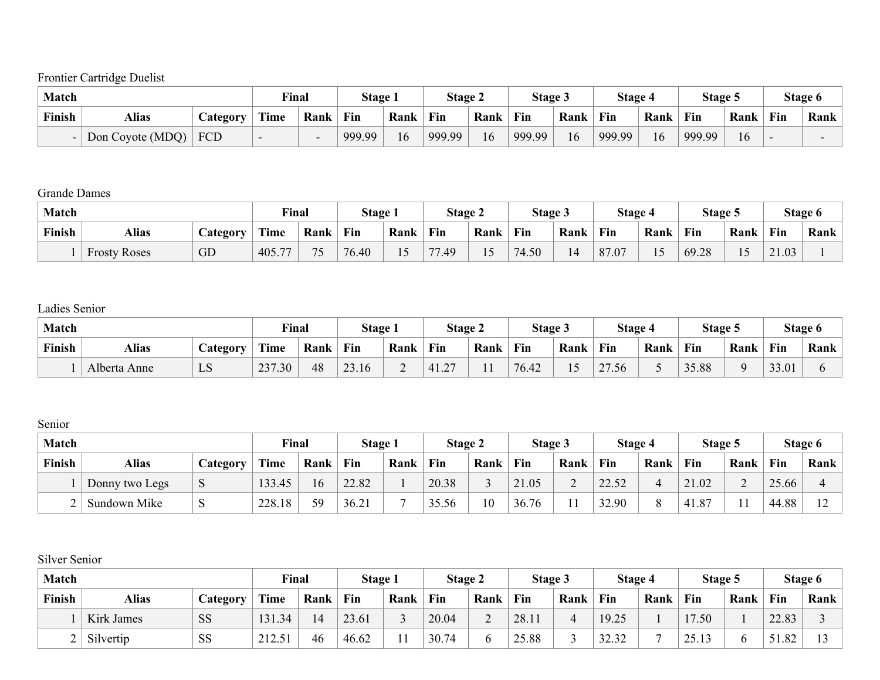Frontier Cartridge Duelist

| <b>Match</b>  |                  |          | Final |                          | Stage 1 |      | <b>Stage 2</b> |      | Stage 3 |                | Stage 4 |      | Stage 5 |      |     | Stage 6 |
|---------------|------------------|----------|-------|--------------------------|---------|------|----------------|------|---------|----------------|---------|------|---------|------|-----|---------|
| <b>Finish</b> | Alias            | Category | Time  | Rank                     | Fin     | Rank | Fin            | Rank | Fin     | Rank           | Fin     | Rank | Fin     | Rank | Fin | Rank    |
|               | Don Coyote (MDQ) | FCD      |       | $\overline{\phantom{a}}$ | 999.99  | 16   | 999.99         | 16   | 999.99  | $\overline{6}$ | 999.99  | 16   | 999.99  | 16   |     |         |

Grande Dames

| <b>Match</b>  |                     |                       | <b>Final</b> |      | Stage 1 |         | <b>Stage 2</b>                  |                          | Stage 3 |                                  | Stage 4 |      | Stage 5 |        |                          | Stage 6 |
|---------------|---------------------|-----------------------|--------------|------|---------|---------|---------------------------------|--------------------------|---------|----------------------------------|---------|------|---------|--------|--------------------------|---------|
| <b>Finish</b> | Alias               | $\mathcal{L}$ ategory | Time         | Rank | Fin     | Rank    | Fin                             | Rank                     | Fin     | Rank                             | Fin     | Rank | Fin     | Rank   | Fin                      | Rank    |
|               | <b>Frosty Roses</b> | GD                    | 405.<br>77   | コピ   | 76.40   | 15<br>运 | .49<br>$\overline{\phantom{m}}$ | $\overline{\phantom{0}}$ | $+.50$  | $\overline{A}$<br>$\overline{4}$ | 87.07   |      | 69.28   | $\sim$ | .03<br>$\bigcap$ 1<br>41 |         |

Ladies Senior

| <b>Match</b> |              |          | Final  |      | Stage 1 |      | Stage 2        |      | Stage 3 |      | <b>Stage 4</b> |      | Stage 5 |      |       | Stage 6 |
|--------------|--------------|----------|--------|------|---------|------|----------------|------|---------|------|----------------|------|---------|------|-------|---------|
| Finish       | Alias        | Category | Time   | Rank | Fin     | Rank | Fin            | Rank | Fin     | Rank | Fin            | Rank | Fin     | Rank | Fin   | Rank    |
|              | Alberta Anne | LS       | 237.30 | 48   | 23.16   | ∼    | $\sim$<br>41.2 |      | 76.42   | ⊥ັ   | 27.56          | ັ    | 35.88   |      | 33.01 |         |

Senior

| <b>Match</b> |                |          | Final  |      | <b>Stage 1</b> |      | <b>Stage 2</b> |                | Stage 3 |      | Stage 4 |      | Stage 5       |      |       | Stage 6       |
|--------------|----------------|----------|--------|------|----------------|------|----------------|----------------|---------|------|---------|------|---------------|------|-------|---------------|
| Finish       | Alias          | Category | Time   | Rank | Fin            | Rank | Fin            | Rank           | Fin     | Rank | Fin     | Rank | Fin           | Rank | Fin   | Rank          |
|              | Donny two Legs |          | 133.45 | 16   | 22.82          |      | 20.38          |                | 21.05   |      | 22.52   |      | 21.02         |      | 25.66 |               |
| ∸            | Sundown Mike   |          | 228.18 | 59   | 36.21          |      | 35.56          | $\overline{0}$ | 36.76   |      | 32.90   |      | $-1.87$<br>41 |      | 44.88 | $\sim$<br>$-$ |

Silver Senior

| <b>Match</b> |            |                 | Final  |      | <b>Stage 1</b> |      | <b>Stage 2</b> |             | Stage 3 |      | Stage 4 |      | Stage 5 |      |            | Stage 6 |
|--------------|------------|-----------------|--------|------|----------------|------|----------------|-------------|---------|------|---------|------|---------|------|------------|---------|
| Finish       | Alias      | <b>Category</b> | Time   | Rank | Fin            | Rank | Fin            | Rank        | Fin     | Rank | Fin     | Rank | Fin     | Rank | <b>Fin</b> | Rank    |
|              | Kirk James | SS              | 131.34 | 14   | 23.61          |      | 20.04          | $\sim$<br>↩ | 28.11   |      | 19.25   |      | 17.50   |      | 22.83      |         |
| ∸            | Silvertip  | SS              | 212.51 | 46   | 46.62          |      | 30.74          |             | 25.88   |      | 32.32   |      | 25.13   |      | 51.82      |         |